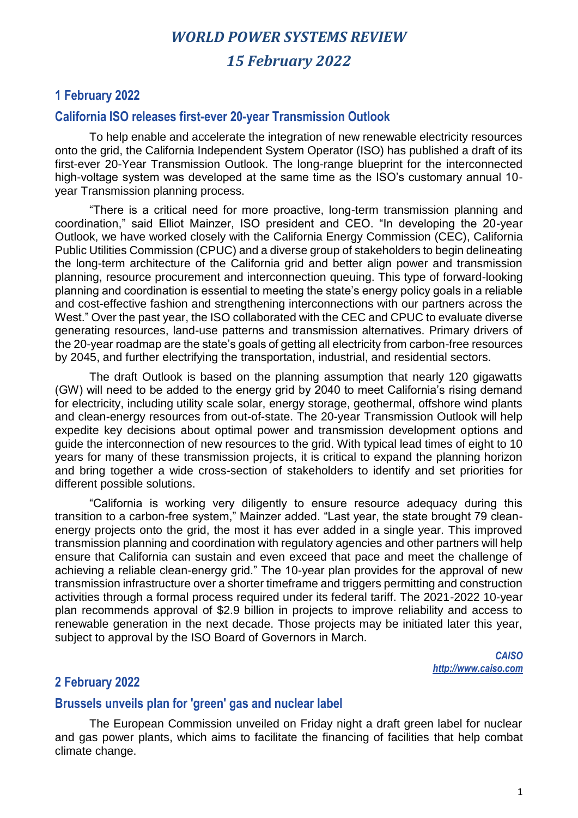# *WORLD POWER SYSTEMS REVIEW 15 February 2022*

## **1 February 2022**

### **California ISO releases first-ever 20-year Transmission Outlook**

To help enable and accelerate the integration of new renewable electricity resources onto the grid, the California Independent System Operator (ISO) has published a draft of its first-ever 20-Year Transmission Outlook. The long-range blueprint for the interconnected high-voltage system was developed at the same time as the ISO's customary annual 10 year Transmission planning process.

"There is a critical need for more proactive, long-term transmission planning and coordination," said Elliot Mainzer, ISO president and CEO. "In developing the 20-year Outlook, we have worked closely with the California Energy Commission (CEC), California Public Utilities Commission (CPUC) and a diverse group of stakeholders to begin delineating the long-term architecture of the California grid and better align power and transmission planning, resource procurement and interconnection queuing. This type of forward-looking planning and coordination is essential to meeting the state's energy policy goals in a reliable and cost-effective fashion and strengthening interconnections with our partners across the West." Over the past year, the ISO collaborated with the CEC and CPUC to evaluate diverse generating resources, land-use patterns and transmission alternatives. Primary drivers of the 20-year roadmap are the state's goals of getting all electricity from carbon-free resources by 2045, and further electrifying the transportation, industrial, and residential sectors.

The draft Outlook is based on the planning assumption that nearly 120 gigawatts (GW) will need to be added to the energy grid by 2040 to meet California's rising demand for electricity, including utility scale solar, energy storage, geothermal, offshore wind plants and clean-energy resources from out-of-state. The 20-year Transmission Outlook will help expedite key decisions about optimal power and transmission development options and guide the interconnection of new resources to the grid. With typical lead times of eight to 10 years for many of these transmission projects, it is critical to expand the planning horizon and bring together a wide cross-section of stakeholders to identify and set priorities for different possible solutions.

"California is working very diligently to ensure resource adequacy during this transition to a carbon-free system," Mainzer added. "Last year, the state brought 79 cleanenergy projects onto the grid, the most it has ever added in a single year. This improved transmission planning and coordination with regulatory agencies and other partners will help ensure that California can sustain and even exceed that pace and meet the challenge of achieving a reliable clean-energy grid." The 10-year plan provides for the approval of new transmission infrastructure over a shorter timeframe and triggers permitting and construction activities through a formal process required under its federal tariff. The 2021-2022 10-year plan recommends approval of \$2.9 billion in projects to improve reliability and access to renewable generation in the next decade. Those projects may be initiated later this year, subject to approval by the ISO Board of Governors in March.

> *CAISO http://www.caiso.com*

### **2 February 2022**

### **Brussels unveils plan for 'green' gas and nuclear label**

The European Commission unveiled on Friday night a draft green label for nuclear and gas power plants, which aims to facilitate the financing of facilities that help combat climate change.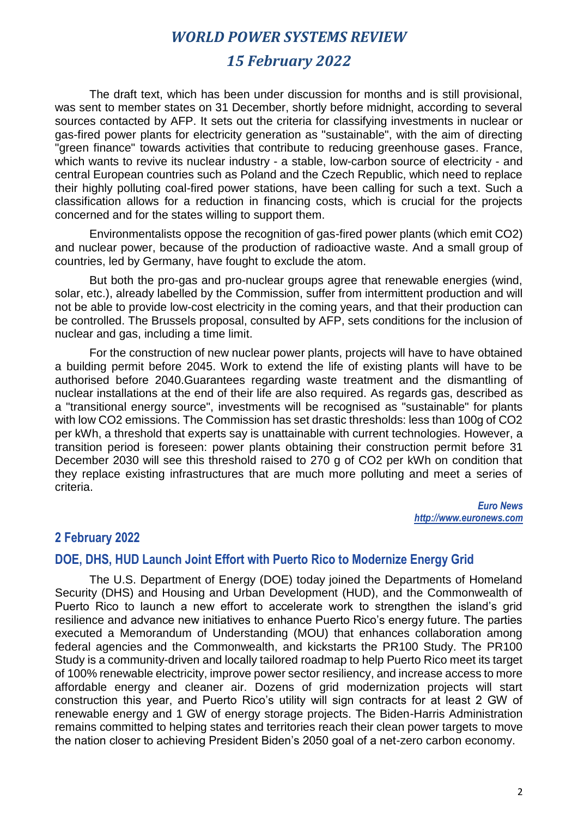# *15 February 2022*

The draft text, which has been under discussion for months and is still provisional, was sent to member states on 31 December, shortly before midnight, according to several sources contacted by AFP. It sets out the criteria for classifying investments in nuclear or gas-fired power plants for electricity generation as "sustainable", with the aim of directing "green finance" towards activities that contribute to reducing greenhouse gases. France, which wants to revive its nuclear industry - a stable, low-carbon source of electricity - and central European countries such as Poland and the Czech Republic, which need to replace their highly polluting coal-fired power stations, have been calling for such a text. Such a classification allows for a reduction in financing costs, which is crucial for the projects concerned and for the states willing to support them.

Environmentalists oppose the recognition of gas-fired power plants (which emit CO2) and nuclear power, because of the production of radioactive waste. And a small group of countries, led by Germany, have fought to exclude the atom.

But both the pro-gas and pro-nuclear groups agree that renewable energies (wind, solar, etc.), already labelled by the Commission, suffer from intermittent production and will not be able to provide low-cost electricity in the coming years, and that their production can be controlled. The Brussels proposal, consulted by AFP, sets conditions for the inclusion of nuclear and gas, including a time limit.

For the construction of new nuclear power plants, projects will have to have obtained a building permit before 2045. Work to extend the life of existing plants will have to be authorised before 2040.Guarantees regarding waste treatment and the dismantling of nuclear installations at the end of their life are also required. As regards gas, described as a "transitional energy source", investments will be recognised as "sustainable" for plants with low CO2 emissions. The Commission has set drastic thresholds: less than 100g of CO2 per kWh, a threshold that experts say is unattainable with current technologies. However, a transition period is foreseen: power plants obtaining their construction permit before 31 December 2030 will see this threshold raised to 270 g of CO2 per kWh on condition that they replace existing infrastructures that are much more polluting and meet a series of criteria.

> *Euro News http://www.euronews.com*

### **2 February 2022**

### **DOE, DHS, HUD Launch Joint Effort with Puerto Rico to Modernize Energy Grid**

The U.S. Department of Energy (DOE) today joined the Departments of Homeland Security (DHS) and Housing and Urban Development (HUD), and the Commonwealth of Puerto Rico to launch a new effort to accelerate work to strengthen the island's grid resilience and advance new initiatives to enhance Puerto Rico's energy future. The parties executed a Memorandum of Understanding (MOU) that enhances collaboration among federal agencies and the Commonwealth, and kickstarts the PR100 Study. The PR100 Study is a community-driven and locally tailored roadmap to help Puerto Rico meet its target of 100% renewable electricity, improve power sector resiliency, and increase access to more affordable energy and cleaner air. Dozens of grid modernization projects will start construction this year, and Puerto Rico's utility will sign contracts for at least 2 GW of renewable energy and 1 GW of energy storage projects. The Biden-Harris Administration remains committed to helping states and territories reach their clean power targets to move the nation closer to achieving President Biden's 2050 goal of a net-zero carbon economy.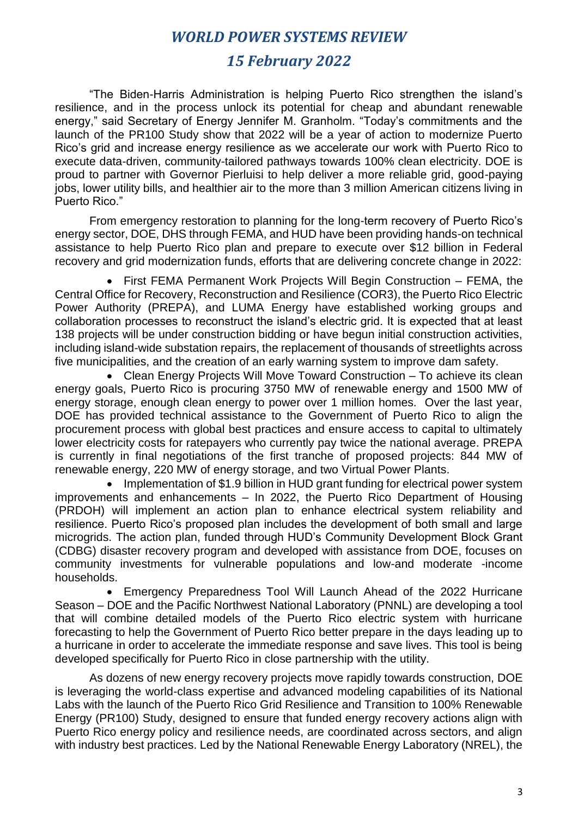# *15 February 2022*

"The Biden-Harris Administration is helping Puerto Rico strengthen the island's resilience, and in the process unlock its potential for cheap and abundant renewable energy," said Secretary of Energy Jennifer M. Granholm. "Today's commitments and the launch of the PR100 Study show that 2022 will be a year of action to modernize Puerto Rico's grid and increase energy resilience as we accelerate our work with Puerto Rico to execute data-driven, community-tailored pathways towards 100% clean electricity. DOE is proud to partner with Governor Pierluisi to help deliver a more reliable grid, good-paying jobs, lower utility bills, and healthier air to the more than 3 million American citizens living in Puerto Rico."

From emergency restoration to planning for the long-term recovery of Puerto Rico's energy sector, DOE, DHS through FEMA, and HUD have been providing hands-on technical assistance to help Puerto Rico plan and prepare to execute over \$12 billion in Federal recovery and grid modernization funds, efforts that are delivering concrete change in 2022:

• First FEMA Permanent Work Projects Will Begin Construction – FEMA, the Central Office for Recovery, Reconstruction and Resilience (COR3), the Puerto Rico Electric Power Authority (PREPA), and LUMA Energy have established working groups and collaboration processes to reconstruct the island's electric grid. It is expected that at least 138 projects will be under construction bidding or have begun initial construction activities, including island-wide substation repairs, the replacement of thousands of streetlights across five municipalities, and the creation of an early warning system to improve dam safety.

• Clean Energy Projects Will Move Toward Construction – To achieve its clean energy goals, Puerto Rico is procuring 3750 MW of renewable energy and 1500 MW of energy storage, enough clean energy to power over 1 million homes. Over the last year, DOE has provided technical assistance to the Government of Puerto Rico to align the procurement process with global best practices and ensure access to capital to ultimately lower electricity costs for ratepayers who currently pay twice the national average. PREPA is currently in final negotiations of the first tranche of proposed projects: 844 MW of renewable energy, 220 MW of energy storage, and two Virtual Power Plants.

• Implementation of \$1.9 billion in HUD grant funding for electrical power system improvements and enhancements – In 2022, the Puerto Rico Department of Housing (PRDOH) will implement an action plan to enhance electrical system reliability and resilience. Puerto Rico's proposed plan includes the development of both small and large microgrids. The action plan, funded through HUD's Community Development Block Grant (CDBG) disaster recovery program and developed with assistance from DOE, focuses on community investments for vulnerable populations and low-and moderate -income households.

• Emergency Preparedness Tool Will Launch Ahead of the 2022 Hurricane Season – DOE and the Pacific Northwest National Laboratory (PNNL) are developing a tool that will combine detailed models of the Puerto Rico electric system with hurricane forecasting to help the Government of Puerto Rico better prepare in the days leading up to a hurricane in order to accelerate the immediate response and save lives. This tool is being developed specifically for Puerto Rico in close partnership with the utility.

As dozens of new energy recovery projects move rapidly towards construction, DOE is leveraging the world-class expertise and advanced modeling capabilities of its National Labs with the launch of the Puerto Rico Grid Resilience and Transition to 100% Renewable Energy (PR100) Study, designed to ensure that funded energy recovery actions align with Puerto Rico energy policy and resilience needs, are coordinated across sectors, and align with industry best practices. Led by the National Renewable Energy Laboratory (NREL), the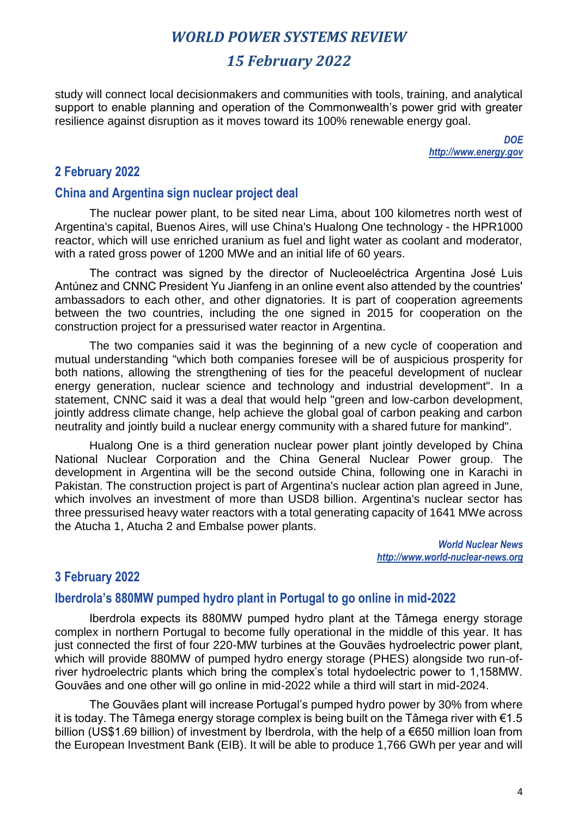# *15 February 2022*

study will connect local decisionmakers and communities with tools, training, and analytical support to enable planning and operation of the Commonwealth's power grid with greater resilience against disruption as it moves toward its 100% renewable energy goal.

> *DOE http://www.energy.gov*

### **2 February 2022**

### **China and Argentina sign nuclear project deal**

The nuclear power plant, to be sited near Lima, about 100 kilometres north west of Argentina's capital, Buenos Aires, will use China's Hualong One technology - the HPR1000 reactor, which will use enriched uranium as fuel and light water as coolant and moderator, with a rated gross power of 1200 MWe and an initial life of 60 years.

The contract was signed by the director of Nucleoeléctrica Argentina José Luis Antúnez and CNNC President Yu Jianfeng in an online event also attended by the countries' ambassadors to each other, and other dignatories. It is part of cooperation agreements between the two countries, including the one signed in 2015 for cooperation on the construction project for a pressurised water reactor in Argentina.

The two companies said it was the beginning of a new cycle of cooperation and mutual understanding "which both companies foresee will be of auspicious prosperity for both nations, allowing the strengthening of ties for the peaceful development of nuclear energy generation, nuclear science and technology and industrial development". In a statement, CNNC said it was a deal that would help "green and low-carbon development, jointly address climate change, help achieve the global goal of carbon peaking and carbon neutrality and jointly build a nuclear energy community with a shared future for mankind".

Hualong One is a third generation nuclear power plant jointly developed by China National Nuclear Corporation and the China General Nuclear Power group. The development in Argentina will be the second outside China, following one in Karachi in Pakistan. The construction project is part of Argentina's nuclear action plan agreed in June, which involves an investment of more than USD8 billion. Argentina's nuclear sector has three pressurised heavy water reactors with a total generating capacity of 1641 MWe across the Atucha 1, Atucha 2 and Embalse power plants.

> *World Nuclear News http://www.world-nuclear-news.org*

### **3 February 2022**

#### **Iberdrola's 880MW pumped hydro plant in Portugal to go online in mid-2022**

Iberdrola expects its 880MW pumped hydro plant at the Tâmega energy storage complex in northern Portugal to become fully operational in the middle of this year. It has just connected the first of four 220-MW turbines at the Gouvães hydroelectric power plant, which will provide 880MW of pumped hydro energy storage (PHES) alongside two run-ofriver hydroelectric plants which bring the complex's total hydoelectric power to 1,158MW. Gouvães and one other will go online in mid-2022 while a third will start in mid-2024.

The Gouvães plant will increase Portugal's pumped hydro power by 30% from where it is today. The Tâmega energy storage complex is being built on the Tâmega river with €1.5 billion (US\$1.69 billion) of investment by Iberdrola, with the help of a €650 million loan from the European Investment Bank (EIB). It will be able to produce 1,766 GWh per year and will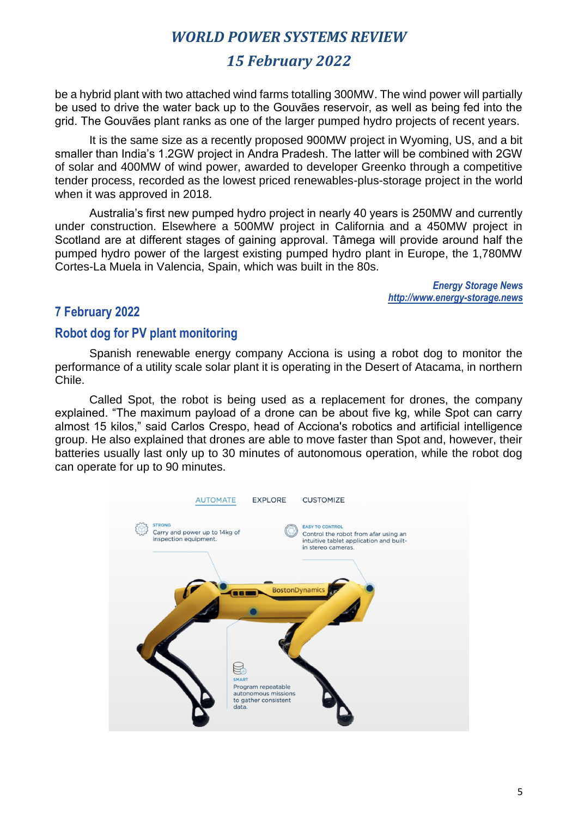# *15 February 2022*

be a hybrid plant with two attached wind farms totalling 300MW. The wind power will partially be used to drive the water back up to the Gouvães reservoir, as well as being fed into the grid. The Gouvães plant ranks as one of the larger pumped hydro projects of recent years.

It is the same size as a recently proposed 900MW project in Wyoming, US, and a bit smaller than India's 1.2GW project in Andra Pradesh. The latter will be combined with 2GW of solar and 400MW of wind power, awarded to developer Greenko through a competitive tender process, recorded as the lowest priced renewables-plus-storage project in the world when it was approved in 2018.

Australia's first new pumped hydro project in nearly 40 years is 250MW and currently under construction. Elsewhere a 500MW project in California and a 450MW project in Scotland are at different stages of gaining approval. Tâmega will provide around half the pumped hydro power of the largest existing pumped hydro plant in Europe, the 1,780MW Cortes-La Muela in Valencia, Spain, which was built in the 80s.

> *Energy Storage News http://www.energy-storage.news*

### **7 February 2022**

### **Robot dog for PV plant monitoring**

Spanish renewable energy company Acciona is using a robot dog to monitor the performance of a utility scale solar plant it is operating in the Desert of Atacama, in northern Chile.

Called Spot, the robot is being used as a replacement for drones, the company explained. "The maximum payload of a drone can be about five kg, while Spot can carry almost 15 kilos," said Carlos Crespo, head of Acciona's robotics and artificial intelligence group. He also explained that drones are able to move faster than Spot and, however, their batteries usually last only up to 30 minutes of autonomous operation, while the robot dog can operate for up to 90 minutes.

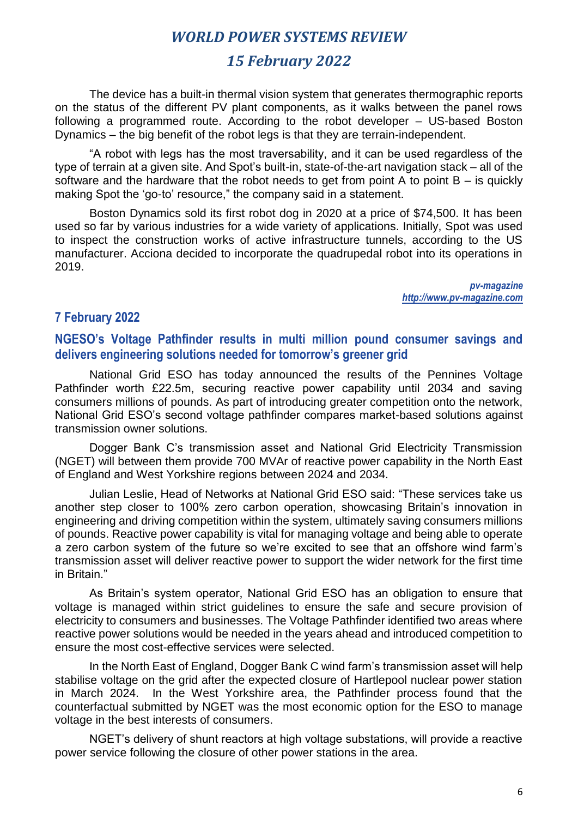# *15 February 2022*

The device has a built-in thermal vision system that generates thermographic reports on the status of the different PV plant components, as it walks between the panel rows following a programmed route. According to the robot developer – US-based Boston Dynamics – the big benefit of the robot legs is that they are terrain-independent.

"A robot with legs has the most traversability, and it can be used regardless of the type of terrain at a given site. And Spot's built-in, state-of-the-art navigation stack – all of the software and the hardware that the robot needs to get from point A to point  $B - iS$  quickly making Spot the 'go-to' resource," the company said in a statement.

Boston Dynamics sold its first robot dog in 2020 at a price of \$74,500. It has been used so far by various industries for a wide variety of applications. Initially, Spot was used to inspect the construction works of active infrastructure tunnels, according to the US manufacturer. Acciona decided to incorporate the quadrupedal robot into its operations in 2019.

> *pv-magazine http://www.pv-magazine.com*

### **7 February 2022**

### **NGESO's Voltage Pathfinder results in multi million pound consumer savings and delivers engineering solutions needed for tomorrow's greener grid**

National Grid ESO has today announced the results of the Pennines Voltage Pathfinder worth £22.5m, securing reactive power capability until 2034 and saving consumers millions of pounds. As part of introducing greater competition onto the network, National Grid ESO's second voltage pathfinder compares market-based solutions against transmission owner solutions.

Dogger Bank C's transmission asset and National Grid Electricity Transmission (NGET) will between them provide 700 MVAr of reactive power capability in the North East of England and West Yorkshire regions between 2024 and 2034.

Julian Leslie, Head of Networks at National Grid ESO said: "These services take us another step closer to 100% zero carbon operation, showcasing Britain's innovation in engineering and driving competition within the system, ultimately saving consumers millions of pounds. Reactive power capability is vital for managing voltage and being able to operate a zero carbon system of the future so we're excited to see that an offshore wind farm's transmission asset will deliver reactive power to support the wider network for the first time in Britain."

As Britain's system operator, National Grid ESO has an obligation to ensure that voltage is managed within strict guidelines to ensure the safe and secure provision of electricity to consumers and businesses. The Voltage Pathfinder identified two areas where reactive power solutions would be needed in the years ahead and introduced competition to ensure the most cost-effective services were selected.

In the North East of England, Dogger Bank C wind farm's transmission asset will help stabilise voltage on the grid after the expected closure of Hartlepool nuclear power station in March 2024. In the West Yorkshire area, the Pathfinder process found that the counterfactual submitted by NGET was the most economic option for the ESO to manage voltage in the best interests of consumers.

NGET's delivery of shunt reactors at high voltage substations, will provide a reactive power service following the closure of other power stations in the area.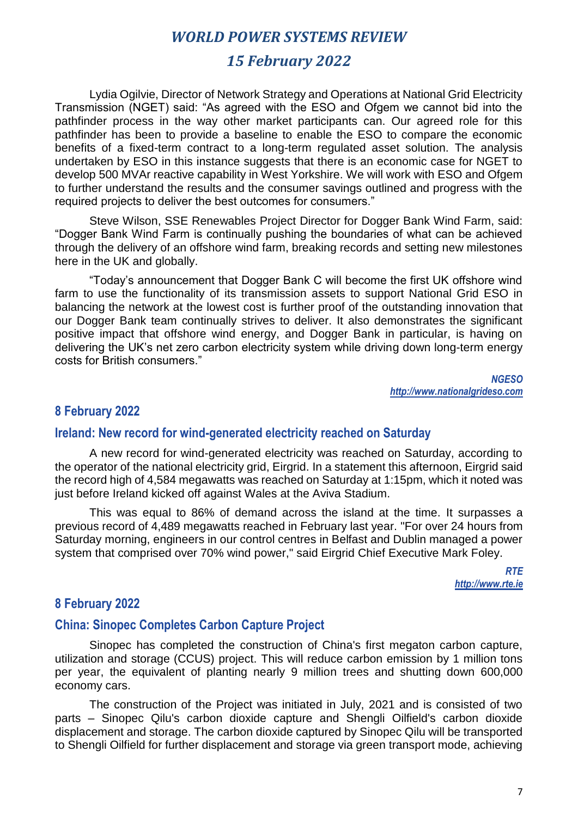# *15 February 2022*

Lydia Ogilvie, Director of Network Strategy and Operations at National Grid Electricity Transmission (NGET) said: "As agreed with the ESO and Ofgem we cannot bid into the pathfinder process in the way other market participants can. Our agreed role for this pathfinder has been to provide a baseline to enable the ESO to compare the economic benefits of a fixed-term contract to a long-term regulated asset solution. The analysis undertaken by ESO in this instance suggests that there is an economic case for NGET to develop 500 MVAr reactive capability in West Yorkshire. We will work with ESO and Ofgem to further understand the results and the consumer savings outlined and progress with the required projects to deliver the best outcomes for consumers."

Steve Wilson, SSE Renewables Project Director for Dogger Bank Wind Farm, said: "Dogger Bank Wind Farm is continually pushing the boundaries of what can be achieved through the delivery of an offshore wind farm, breaking records and setting new milestones here in the UK and globally.

"Today's announcement that Dogger Bank C will become the first UK offshore wind farm to use the functionality of its transmission assets to support National Grid ESO in balancing the network at the lowest cost is further proof of the outstanding innovation that our Dogger Bank team continually strives to deliver. It also demonstrates the significant positive impact that offshore wind energy, and Dogger Bank in particular, is having on delivering the UK's net zero carbon electricity system while driving down long-term energy costs for British consumers."

> *NGESO http://www.nationalgrideso.com*

### **8 February 2022**

### **Ireland: New record for wind-generated electricity reached on Saturday**

A new record for wind-generated electricity was reached on Saturday, according to the operator of the national electricity grid, Eirgrid. In a statement this afternoon, Eirgrid said the record high of 4,584 megawatts was reached on Saturday at 1:15pm, which it noted was just before Ireland kicked off against Wales at the Aviva Stadium.

This was equal to 86% of demand across the island at the time. It surpasses a previous record of 4,489 megawatts reached in February last year. "For over 24 hours from Saturday morning, engineers in our control centres in Belfast and Dublin managed a power system that comprised over 70% wind power," said Eirgrid Chief Executive Mark Foley.

> *RTE http://www.rte.ie*

### **8 February 2022**

### **China: Sinopec Completes Carbon Capture Project**

Sinopec has completed the construction of China's first megaton carbon capture, utilization and storage (CCUS) project. This will reduce carbon emission by 1 million tons per year, the equivalent of planting nearly 9 million trees and shutting down 600,000 economy cars.

The construction of the Project was initiated in July, 2021 and is consisted of two parts – Sinopec Qilu's carbon dioxide capture and Shengli Oilfield's carbon dioxide displacement and storage. The carbon dioxide captured by Sinopec Qilu will be transported to Shengli Oilfield for further displacement and storage via green transport mode, achieving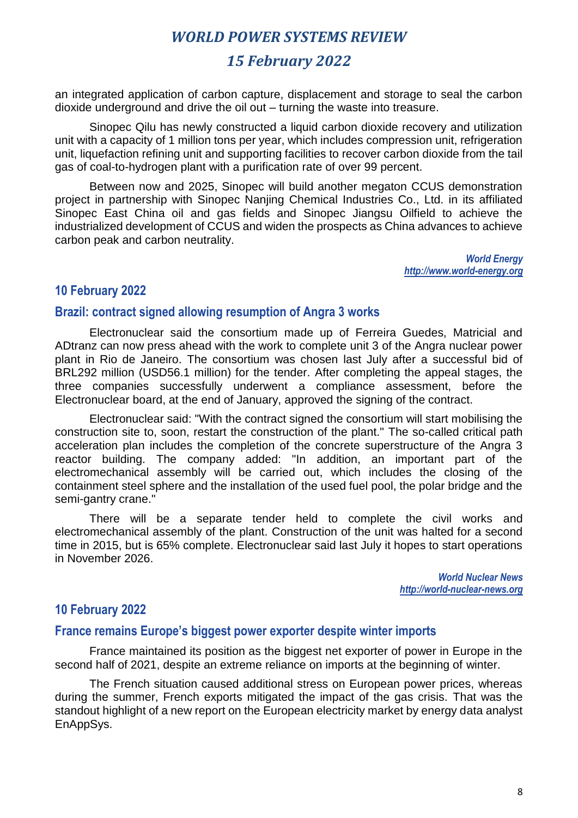# *15 February 2022*

an integrated application of carbon capture, displacement and storage to seal the carbon dioxide underground and drive the oil out – turning the waste into treasure.

Sinopec Qilu has newly constructed a liquid carbon dioxide recovery and utilization unit with a capacity of 1 million tons per year, which includes compression unit, refrigeration unit, liquefaction refining unit and supporting facilities to recover carbon dioxide from the tail gas of coal-to-hydrogen plant with a purification rate of over 99 percent.

Between now and 2025, Sinopec will build another megaton CCUS demonstration project in partnership with Sinopec Nanjing Chemical Industries Co., Ltd. in its affiliated Sinopec East China oil and gas fields and Sinopec Jiangsu Oilfield to achieve the industrialized development of CCUS and widen the prospects as China advances to achieve carbon peak and carbon neutrality.

> *World Energy http://www.world-energy.org*

## **10 February 2022**

### **Brazil: contract signed allowing resumption of Angra 3 works**

Electronuclear said the consortium made up of Ferreira Guedes, Matricial and ADtranz can now press ahead with the work to complete unit 3 of the Angra nuclear power plant in Rio de Janeiro. The consortium was chosen last July after a successful bid of BRL292 million (USD56.1 million) for the tender. After completing the appeal stages, the three companies successfully underwent a compliance assessment, before the Electronuclear board, at the end of January, approved the signing of the contract.

Electronuclear said: "With the contract signed the consortium will start mobilising the construction site to, soon, restart the construction of the plant." The so-called critical path acceleration plan includes the completion of the concrete superstructure of the Angra 3 reactor building. The company added: "In addition, an important part of the electromechanical assembly will be carried out, which includes the closing of the containment steel sphere and the installation of the used fuel pool, the polar bridge and the semi-gantry crane."

There will be a separate tender held to complete the civil works and electromechanical assembly of the plant. Construction of the unit was halted for a second time in 2015, but is 65% complete. Electronuclear said last July it hopes to start operations in November 2026.

> *World Nuclear News http://world-nuclear-news.org*

### **10 February 2022**

#### **France remains Europe's biggest power exporter despite winter imports**

France maintained its position as the biggest net exporter of power in Europe in the second half of 2021, despite an extreme reliance on imports at the beginning of winter.

The French situation caused additional stress on European power prices, whereas during the summer, French exports mitigated the impact of the gas crisis. That was the standout highlight of a new report on the European electricity market by energy data analyst EnAppSys.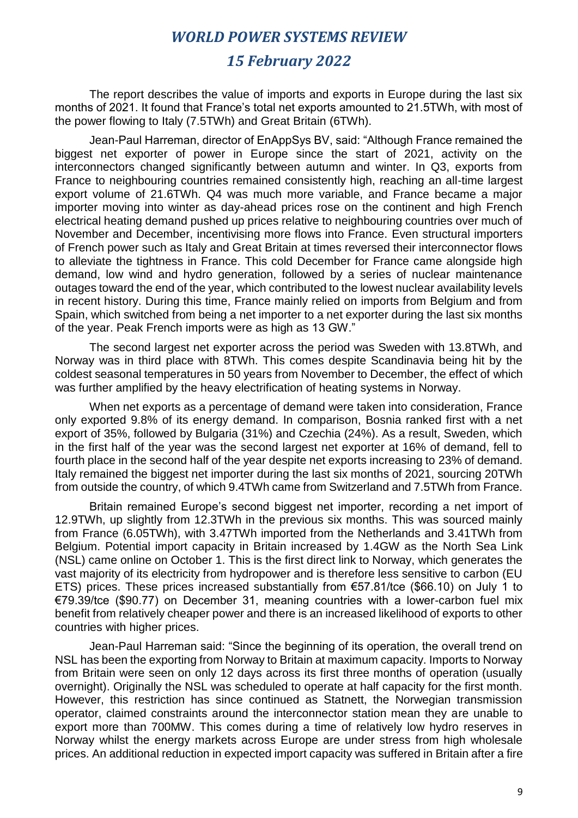## *15 February 2022*

The report describes the value of imports and exports in Europe during the last six months of 2021. It found that France's total net exports amounted to 21.5TWh, with most of the power flowing to Italy (7.5TWh) and Great Britain (6TWh).

Jean-Paul Harreman, director of EnAppSys BV, said: "Although France remained the biggest net exporter of power in Europe since the start of 2021, activity on the interconnectors changed significantly between autumn and winter. In Q3, exports from France to neighbouring countries remained consistently high, reaching an all-time largest export volume of 21.6TWh. Q4 was much more variable, and France became a major importer moving into winter as day-ahead prices rose on the continent and high French electrical heating demand pushed up prices relative to neighbouring countries over much of November and December, incentivising more flows into France. Even structural importers of French power such as Italy and Great Britain at times reversed their interconnector flows to alleviate the tightness in France. This cold December for France came alongside high demand, low wind and hydro generation, followed by a series of nuclear maintenance outages toward the end of the year, which contributed to the lowest nuclear availability levels in recent history. During this time, France mainly relied on imports from Belgium and from Spain, which switched from being a net importer to a net exporter during the last six months of the year. Peak French imports were as high as 13 GW."

The second largest net exporter across the period was Sweden with 13.8TWh, and Norway was in third place with 8TWh. This comes despite Scandinavia being hit by the coldest seasonal temperatures in 50 years from November to December, the effect of which was further amplified by the heavy electrification of heating systems in Norway.

When net exports as a percentage of demand were taken into consideration, France only exported 9.8% of its energy demand. In comparison, Bosnia ranked first with a net export of 35%, followed by Bulgaria (31%) and Czechia (24%). As a result, Sweden, which in the first half of the year was the second largest net exporter at 16% of demand, fell to fourth place in the second half of the year despite net exports increasing to 23% of demand. Italy remained the biggest net importer during the last six months of 2021, sourcing 20TWh from outside the country, of which 9.4TWh came from Switzerland and 7.5TWh from France.

Britain remained Europe's second biggest net importer, recording a net import of 12.9TWh, up slightly from 12.3TWh in the previous six months. This was sourced mainly from France (6.05TWh), with 3.47TWh imported from the Netherlands and 3.41TWh from Belgium. Potential import capacity in Britain increased by 1.4GW as the North Sea Link (NSL) came online on October 1. This is the first direct link to Norway, which generates the vast majority of its electricity from hydropower and is therefore less sensitive to carbon (EU ETS) prices. These prices increased substantially from  $\epsilon$ 57.81/tce (\$66.10) on July 1 to €79.39/tce (\$90.77) on December 31, meaning countries with a lower-carbon fuel mix benefit from relatively cheaper power and there is an increased likelihood of exports to other countries with higher prices.

Jean-Paul Harreman said: "Since the beginning of its operation, the overall trend on NSL has been the exporting from Norway to Britain at maximum capacity. Imports to Norway from Britain were seen on only 12 days across its first three months of operation (usually overnight). Originally the NSL was scheduled to operate at half capacity for the first month. However, this restriction has since continued as Statnett, the Norwegian transmission operator, claimed constraints around the interconnector station mean they are unable to export more than 700MW. This comes during a time of relatively low hydro reserves in Norway whilst the energy markets across Europe are under stress from high wholesale prices. An additional reduction in expected import capacity was suffered in Britain after a fire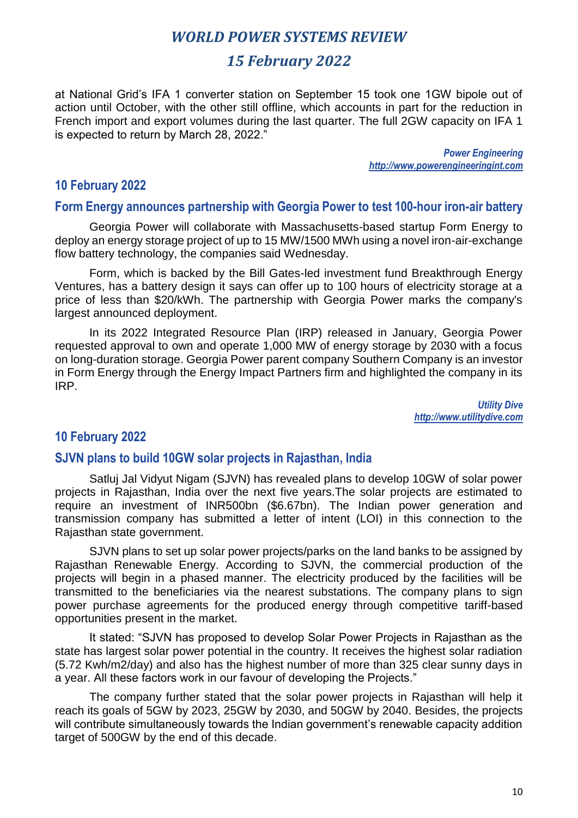# *15 February 2022*

at National Grid's IFA 1 converter station on September 15 took one 1GW bipole out of action until October, with the other still offline, which accounts in part for the reduction in French import and export volumes during the last quarter. The full 2GW capacity on IFA 1 is expected to return by March 28, 2022."

> *Power Engineering [http://www.powerengineeringint.com](http://www.powerengineeringint.com/)*

### **10 February 2022**

### **Form Energy announces partnership with Georgia Power to test 100-hour iron-air battery**

Georgia Power will collaborate with Massachusetts-based startup Form Energy to deploy an energy storage project of up to 15 MW/1500 MWh using a novel iron-air-exchange flow battery technology, the companies said Wednesday.

Form, which is backed by the Bill Gates-led investment fund Breakthrough Energy Ventures, has a battery design it says can offer up to 100 hours of electricity storage at a price of less than \$20/kWh. The partnership with Georgia Power marks the company's largest announced deployment.

In its 2022 Integrated Resource Plan (IRP) released in January, Georgia Power requested approval to own and operate 1,000 MW of energy storage by 2030 with a focus on long-duration storage. Georgia Power parent company Southern Company is an investor in Form Energy through the Energy Impact Partners firm and highlighted the company in its IRP.

> *Utility Dive http://www.utilitydive.com*

### **10 February 2022**

### **SJVN plans to build 10GW solar projects in Rajasthan, India**

Satluj Jal Vidyut Nigam (SJVN) has revealed plans to develop 10GW of solar power projects in Rajasthan, India over the next five years.The solar projects are estimated to require an investment of INR500bn (\$6.67bn). The Indian power generation and transmission company has submitted a letter of intent (LOI) in this connection to the Rajasthan state government.

SJVN plans to set up solar power projects/parks on the land banks to be assigned by Rajasthan Renewable Energy. According to SJVN, the commercial production of the projects will begin in a phased manner. The electricity produced by the facilities will be transmitted to the beneficiaries via the nearest substations. The company plans to sign power purchase agreements for the produced energy through competitive tariff-based opportunities present in the market.

It stated: "SJVN has proposed to develop Solar Power Projects in Rajasthan as the state has largest solar power potential in the country. It receives the highest solar radiation (5.72 Kwh/m2/day) and also has the highest number of more than 325 clear sunny days in a year. All these factors work in our favour of developing the Projects."

The company further stated that the solar power projects in Rajasthan will help it reach its goals of 5GW by 2023, 25GW by 2030, and 50GW by 2040. Besides, the projects will contribute simultaneously towards the Indian government's renewable capacity addition target of 500GW by the end of this decade.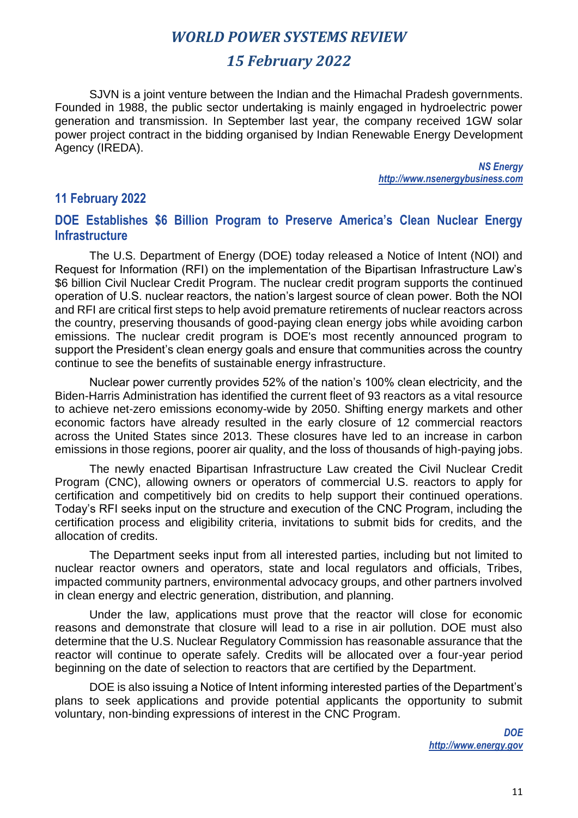# *15 February 2022*

SJVN is a joint venture between the Indian and the Himachal Pradesh governments. Founded in 1988, the public sector undertaking is mainly engaged in hydroelectric power generation and transmission. In September last year, the company received 1GW solar power project contract in the bidding organised by Indian Renewable Energy Development Agency (IREDA).

> *NS Energy http://www.nsenergybusiness.com*

### **11 February 2022**

### **DOE Establishes \$6 Billion Program to Preserve America's Clean Nuclear Energy Infrastructure**

The U.S. Department of Energy (DOE) today released a Notice of Intent (NOI) and Request for Information (RFI) on the implementation of the Bipartisan Infrastructure Law's \$6 billion Civil Nuclear Credit Program. The nuclear credit program supports the continued operation of U.S. nuclear reactors, the nation's largest source of clean power. Both the NOI and RFI are critical first steps to help avoid premature retirements of nuclear reactors across the country, preserving thousands of good-paying clean energy jobs while avoiding carbon emissions. The nuclear credit program is DOE's most recently announced program to support the President's clean energy goals and ensure that communities across the country continue to see the benefits of sustainable energy infrastructure.

Nuclear power currently provides 52% of the nation's 100% clean electricity, and the Biden-Harris Administration has identified the current fleet of 93 reactors as a vital resource to achieve net-zero emissions economy-wide by 2050. Shifting energy markets and other economic factors have already resulted in the early closure of 12 commercial reactors across the United States since 2013. These closures have led to an increase in carbon emissions in those regions, poorer air quality, and the loss of thousands of high-paying jobs.

The newly enacted Bipartisan Infrastructure Law created the Civil Nuclear Credit Program (CNC), allowing owners or operators of commercial U.S. reactors to apply for certification and competitively bid on credits to help support their continued operations. Today's RFI seeks input on the structure and execution of the CNC Program, including the certification process and eligibility criteria, invitations to submit bids for credits, and the allocation of credits.

The Department seeks input from all interested parties, including but not limited to nuclear reactor owners and operators, state and local regulators and officials, Tribes, impacted community partners, environmental advocacy groups, and other partners involved in clean energy and electric generation, distribution, and planning.

Under the law, applications must prove that the reactor will close for economic reasons and demonstrate that closure will lead to a rise in air pollution. DOE must also determine that the U.S. Nuclear Regulatory Commission has reasonable assurance that the reactor will continue to operate safely. Credits will be allocated over a four-year period beginning on the date of selection to reactors that are certified by the Department.

DOE is also issuing a Notice of Intent informing interested parties of the Department's plans to seek applications and provide potential applicants the opportunity to submit voluntary, non-binding expressions of interest in the CNC Program.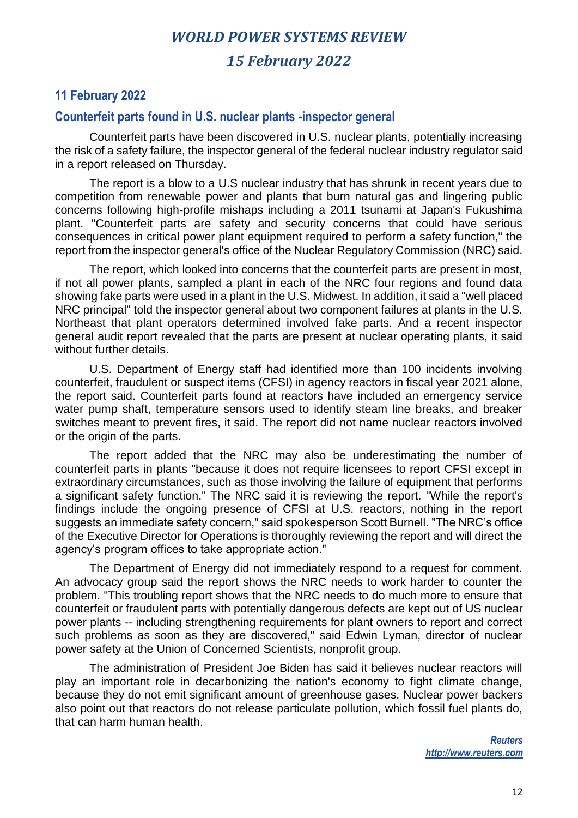# *WORLD POWER SYSTEMS REVIEW 15 February 2022*

## **11 February 2022**

### **Counterfeit parts found in U.S. nuclear plants -inspector general**

Counterfeit parts have been discovered in U.S. nuclear plants, potentially increasing the risk of a safety failure, the inspector general of the federal nuclear industry regulator said in a report released on Thursday.

The report is a blow to a U.S nuclear industry that has shrunk in recent years due to competition from renewable power and plants that burn natural gas and lingering public concerns following high-profile mishaps including a 2011 tsunami at Japan's Fukushima plant. "Counterfeit parts are safety and security concerns that could have serious consequences in critical power plant equipment required to perform a safety function," the report from the inspector general's office of the Nuclear Regulatory Commission (NRC) said.

The report, which looked into concerns that the counterfeit parts are present in most, if not all power plants, sampled a plant in each of the NRC four regions and found data showing fake parts were used in a plant in the U.S. Midwest. In addition, it said a "well placed NRC principal" told the inspector general about two component failures at plants in the U.S. Northeast that plant operators determined involved fake parts. And a recent inspector general audit report revealed that the parts are present at nuclear operating plants, it said without further details.

U.S. Department of Energy staff had identified more than 100 incidents involving counterfeit, fraudulent or suspect items (CFSI) in agency reactors in fiscal year 2021 alone, the report said. Counterfeit parts found at reactors have included an emergency service water pump shaft, temperature sensors used to identify steam line breaks, and breaker switches meant to prevent fires, it said. The report did not name nuclear reactors involved or the origin of the parts.

The report added that the NRC may also be underestimating the number of counterfeit parts in plants "because it does not require licensees to report CFSI except in extraordinary circumstances, such as those involving the failure of equipment that performs a significant safety function." The NRC said it is reviewing the report. "While the report's findings include the ongoing presence of CFSI at U.S. reactors, nothing in the report suggests an immediate safety concern," said spokesperson Scott Burnell. "The NRC's office of the Executive Director for Operations is thoroughly reviewing the report and will direct the agency's program offices to take appropriate action."

The Department of Energy did not immediately respond to a request for comment. An advocacy group said the report shows the NRC needs to work harder to counter the problem. "This troubling report shows that the NRC needs to do much more to ensure that counterfeit or fraudulent parts with potentially dangerous defects are kept out of US nuclear power plants -- including strengthening requirements for plant owners to report and correct such problems as soon as they are discovered," said Edwin Lyman, director of nuclear power safety at the Union of Concerned Scientists, nonprofit group.

The administration of President Joe Biden has said it believes nuclear reactors will play an important role in decarbonizing the nation's economy to fight climate change, because they do not emit significant amount of greenhouse gases. Nuclear power backers also point out that reactors do not release particulate pollution, which fossil fuel plants do, that can harm human health.